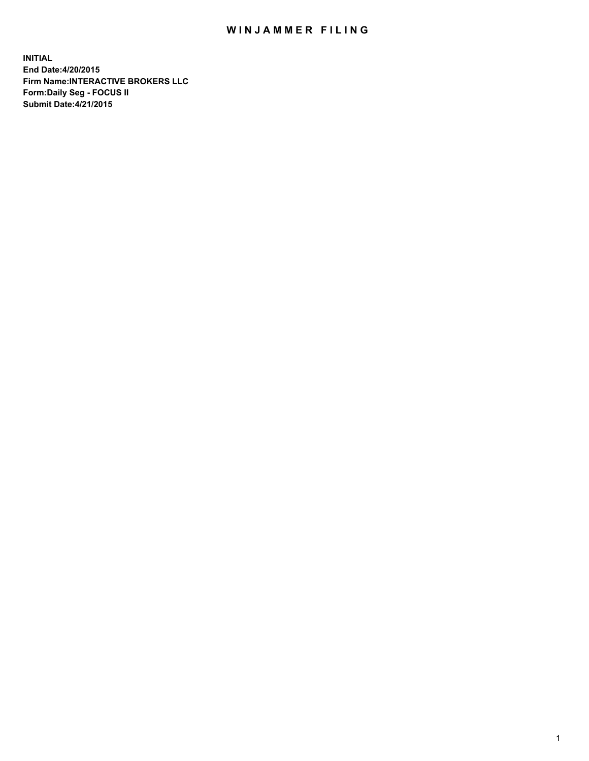## WIN JAMMER FILING

**INITIAL End Date:4/20/2015 Firm Name:INTERACTIVE BROKERS LLC Form:Daily Seg - FOCUS II Submit Date:4/21/2015**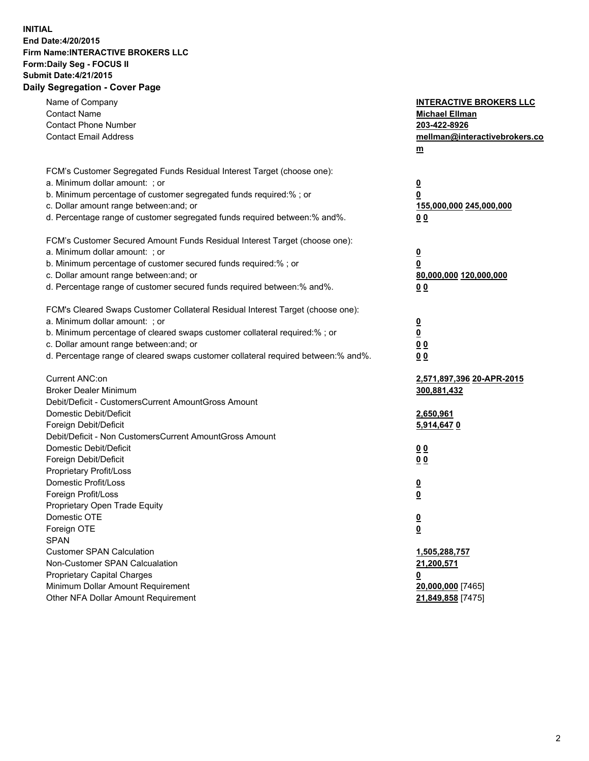## **INITIAL End Date:4/20/2015 Firm Name:INTERACTIVE BROKERS LLC Form:Daily Seg - FOCUS II Submit Date:4/21/2015 Daily Segregation - Cover Page**

| Name of Company<br><b>Contact Name</b><br><b>Contact Phone Number</b><br><b>Contact Email Address</b>                                                                                                                                                                                                                          | <b>INTERACTIVE BROKERS LLC</b><br><b>Michael Ellman</b><br>203-422-8926<br>mellman@interactivebrokers.co<br>$m$ |
|--------------------------------------------------------------------------------------------------------------------------------------------------------------------------------------------------------------------------------------------------------------------------------------------------------------------------------|-----------------------------------------------------------------------------------------------------------------|
| FCM's Customer Segregated Funds Residual Interest Target (choose one):<br>a. Minimum dollar amount: ; or<br>b. Minimum percentage of customer segregated funds required:% ; or<br>c. Dollar amount range between: and; or<br>d. Percentage range of customer segregated funds required between:% and%.                         | <u>0</u><br>0<br>155,000,000 245,000,000<br>0 <sub>0</sub>                                                      |
| FCM's Customer Secured Amount Funds Residual Interest Target (choose one):<br>a. Minimum dollar amount: ; or<br>b. Minimum percentage of customer secured funds required:% ; or<br>c. Dollar amount range between: and; or<br>d. Percentage range of customer secured funds required between:% and%.                           | <u>0</u><br>0<br>80,000,000 120,000,000<br>0 <sub>0</sub>                                                       |
| FCM's Cleared Swaps Customer Collateral Residual Interest Target (choose one):<br>a. Minimum dollar amount: ; or<br>b. Minimum percentage of cleared swaps customer collateral required:% ; or<br>c. Dollar amount range between: and; or<br>d. Percentage range of cleared swaps customer collateral required between:% and%. | $\overline{\mathbf{0}}$<br><u>0</u><br>0 <sub>0</sub><br>0 <sub>0</sub>                                         |
| Current ANC:on<br><b>Broker Dealer Minimum</b><br>Debit/Deficit - CustomersCurrent AmountGross Amount<br>Domestic Debit/Deficit<br>Foreign Debit/Deficit                                                                                                                                                                       | 2,571,897,396 20-APR-2015<br>300,881,432<br>2,650,961<br>5,914,6470                                             |
| Debit/Deficit - Non CustomersCurrent AmountGross Amount<br>Domestic Debit/Deficit<br>Foreign Debit/Deficit<br>Proprietary Profit/Loss<br>Domestic Profit/Loss                                                                                                                                                                  | 0 <sub>0</sub><br>00<br><u>0</u>                                                                                |
| Foreign Profit/Loss<br>Proprietary Open Trade Equity<br>Domestic OTE<br>Foreign OTE<br><b>SPAN</b><br><b>Customer SPAN Calculation</b>                                                                                                                                                                                         | <u>0</u><br><u>0</u><br><u>0</u><br>1,505,288,757                                                               |
| Non-Customer SPAN Calcualation<br><b>Proprietary Capital Charges</b><br>Minimum Dollar Amount Requirement<br>Other NFA Dollar Amount Requirement                                                                                                                                                                               | 21,200,571<br><u>0</u><br>20,000,000 [7465]<br>21,849,858 [7475]                                                |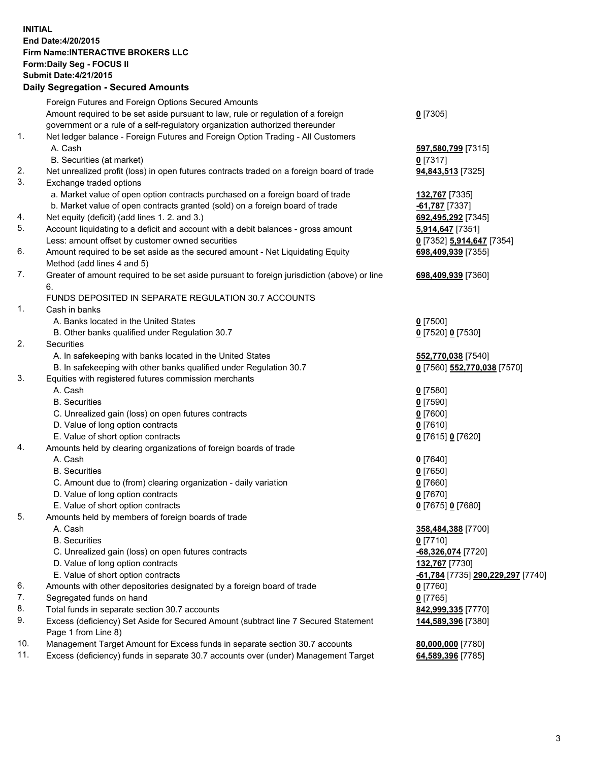## **INITIAL End Date:4/20/2015 Firm Name:INTERACTIVE BROKERS LLC Form:Daily Seg - FOCUS II Submit Date:4/21/2015 Daily Segregation - Secured Amounts**

|     | Foreign Futures and Foreign Options Secured Amounts                                                        |                                                |
|-----|------------------------------------------------------------------------------------------------------------|------------------------------------------------|
|     | Amount required to be set aside pursuant to law, rule or regulation of a foreign                           | $0$ [7305]                                     |
|     | government or a rule of a self-regulatory organization authorized thereunder                               |                                                |
| 1.  | Net ledger balance - Foreign Futures and Foreign Option Trading - All Customers                            |                                                |
|     | A. Cash                                                                                                    | 597,580,799 [7315]                             |
|     | B. Securities (at market)                                                                                  | $0$ [7317]                                     |
| 2.  | Net unrealized profit (loss) in open futures contracts traded on a foreign board of trade                  | 94,843,513 [7325]                              |
| 3.  | Exchange traded options                                                                                    |                                                |
|     | a. Market value of open option contracts purchased on a foreign board of trade                             | 132,767 [7335]                                 |
|     | b. Market value of open contracts granted (sold) on a foreign board of trade                               | $-61,787$ [7337]                               |
| 4.  | Net equity (deficit) (add lines 1.2. and 3.)                                                               | 692,495,292 [7345]                             |
| 5.  | Account liquidating to a deficit and account with a debit balances - gross amount                          | 5,914,647 [7351]                               |
|     | Less: amount offset by customer owned securities                                                           | 0 [7352] 5,914,647 [7354]                      |
| 6.  | Amount required to be set aside as the secured amount - Net Liquidating Equity                             | 698,409,939 [7355]                             |
|     | Method (add lines 4 and 5)                                                                                 |                                                |
| 7.  | Greater of amount required to be set aside pursuant to foreign jurisdiction (above) or line                | 698,409,939 [7360]                             |
|     | 6.                                                                                                         |                                                |
|     | FUNDS DEPOSITED IN SEPARATE REGULATION 30.7 ACCOUNTS                                                       |                                                |
| 1.  | Cash in banks                                                                                              |                                                |
|     | A. Banks located in the United States                                                                      | $0$ [7500]                                     |
|     | B. Other banks qualified under Regulation 30.7                                                             | 0 [7520] 0 [7530]                              |
| 2.  | Securities                                                                                                 |                                                |
|     | A. In safekeeping with banks located in the United States                                                  | 552,770,038 [7540]                             |
|     | B. In safekeeping with other banks qualified under Regulation 30.7                                         | 0 [7560] 552,770,038 [7570]                    |
| 3.  | Equities with registered futures commission merchants                                                      |                                                |
|     | A. Cash                                                                                                    | $0$ [7580]                                     |
|     | <b>B.</b> Securities                                                                                       | $0$ [7590]                                     |
|     | C. Unrealized gain (loss) on open futures contracts                                                        | $0$ [7600]                                     |
|     | D. Value of long option contracts                                                                          | $0$ [7610]                                     |
|     | E. Value of short option contracts                                                                         | 0 [7615] 0 [7620]                              |
| 4.  | Amounts held by clearing organizations of foreign boards of trade                                          |                                                |
|     | A. Cash                                                                                                    | $0$ [7640]                                     |
|     | <b>B.</b> Securities                                                                                       | $0$ [7650]                                     |
|     | C. Amount due to (from) clearing organization - daily variation                                            | $0$ [7660]                                     |
|     | D. Value of long option contracts                                                                          | $0$ [7670]                                     |
|     | E. Value of short option contracts                                                                         | 0 [7675] 0 [7680]                              |
| 5.  | Amounts held by members of foreign boards of trade                                                         |                                                |
|     | A. Cash                                                                                                    | 358,484,388 [7700]                             |
|     | <b>B.</b> Securities                                                                                       | $0$ [7710]                                     |
|     | C. Unrealized gain (loss) on open futures contracts                                                        | -68,326,074 [7720]                             |
|     | D. Value of long option contracts                                                                          | 132,767 [7730]                                 |
|     | E. Value of short option contracts                                                                         | <mark>-61,784</mark> [7735] 290,229,297 [7740] |
| 6.  | Amounts with other depositories designated by a foreign board of trade                                     | $0$ [7760]                                     |
| 7.  | Segregated funds on hand                                                                                   | $0$ [7765]                                     |
| 8.  | Total funds in separate section 30.7 accounts                                                              | 842,999,335 [7770]                             |
| 9.  | Excess (deficiency) Set Aside for Secured Amount (subtract line 7 Secured Statement<br>Page 1 from Line 8) | 144,589,396 [7380]                             |
| 10. | Management Target Amount for Excess funds in separate section 30.7 accounts                                | 80,000,000 [7780]                              |
| 11. | Excess (deficiency) funds in separate 30.7 accounts over (under) Management Target                         | 64,589,396 [7785]                              |
|     |                                                                                                            |                                                |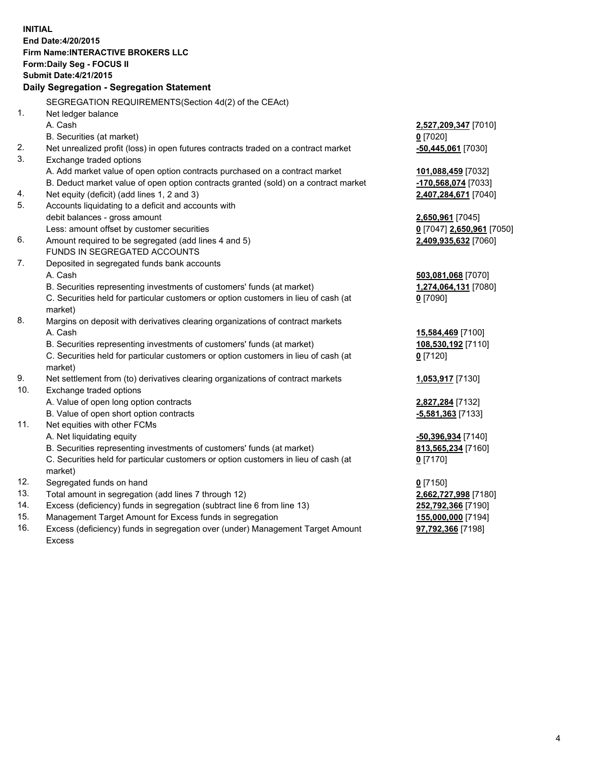**INITIAL End Date:4/20/2015 Firm Name:INTERACTIVE BROKERS LLC Form:Daily Seg - FOCUS II Submit Date:4/21/2015 Daily Segregation - Segregation Statement** SEGREGATION REQUIREMENTS(Section 4d(2) of the CEAct) 1. Net ledger balance A. Cash **2,527,209,347** [7010] B. Securities (at market) **0** [7020] 2. Net unrealized profit (loss) in open futures contracts traded on a contract market **-50,445,061** [7030] 3. Exchange traded options A. Add market value of open option contracts purchased on a contract market **101,088,459** [7032] B. Deduct market value of open option contracts granted (sold) on a contract market **-170,568,074** [7033] 4. Net equity (deficit) (add lines 1, 2 and 3) **2,407,284,671** [7040] 5. Accounts liquidating to a deficit and accounts with debit balances - gross amount **2,650,961** [7045] Less: amount offset by customer securities **0** [7047] **2,650,961** [7050] 6. Amount required to be segregated (add lines 4 and 5) **2,409,935,632** [7060] FUNDS IN SEGREGATED ACCOUNTS 7. Deposited in segregated funds bank accounts A. Cash **503,081,068** [7070] B. Securities representing investments of customers' funds (at market) **1,274,064,131** [7080] C. Securities held for particular customers or option customers in lieu of cash (at market) **0** [7090] 8. Margins on deposit with derivatives clearing organizations of contract markets A. Cash **15,584,469** [7100] B. Securities representing investments of customers' funds (at market) **108,530,192** [7110] C. Securities held for particular customers or option customers in lieu of cash (at market) **0** [7120] 9. Net settlement from (to) derivatives clearing organizations of contract markets **1,053,917** [7130] 10. Exchange traded options A. Value of open long option contracts **2,827,284** [7132] B. Value of open short option contracts **-5,581,363** [7133] 11. Net equities with other FCMs A. Net liquidating equity **-50,396,934** [7140] B. Securities representing investments of customers' funds (at market) **813,565,234** [7160] C. Securities held for particular customers or option customers in lieu of cash (at market) **0** [7170] 12. Segregated funds on hand **0** [7150] 13. Total amount in segregation (add lines 7 through 12) **2,662,727,998** [7180] 14. Excess (deficiency) funds in segregation (subtract line 6 from line 13) **252,792,366** [7190] 15. Management Target Amount for Excess funds in segregation **155,000,000** [7194]

16. Excess (deficiency) funds in segregation over (under) Management Target Amount Excess

**97,792,366** [7198]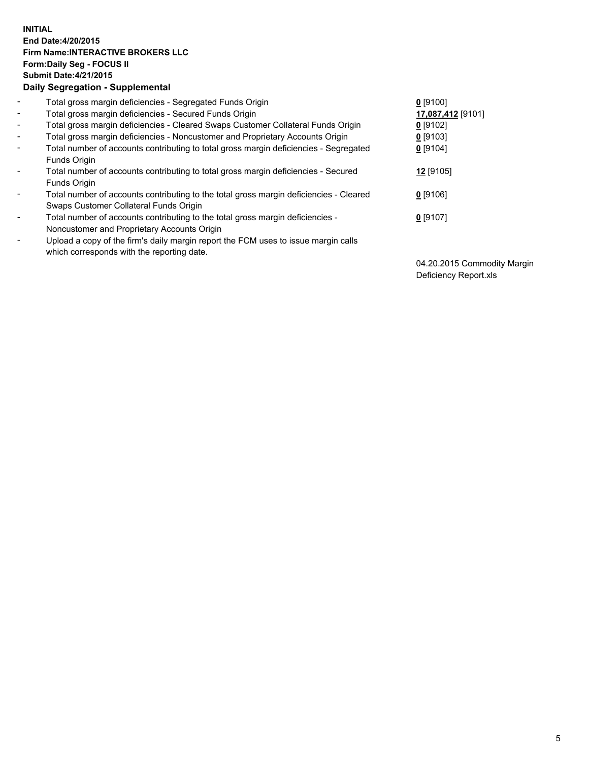## **INITIAL End Date:4/20/2015 Firm Name:INTERACTIVE BROKERS LLC Form:Daily Seg - FOCUS II Submit Date:4/21/2015 Daily Segregation - Supplemental**

| $\blacksquare$ | Total gross margin deficiencies - Segregated Funds Origin                              | $0$ [9100]        |  |
|----------------|----------------------------------------------------------------------------------------|-------------------|--|
| $\blacksquare$ | Total gross margin deficiencies - Secured Funds Origin                                 | 17,087,412 [9101] |  |
| $\blacksquare$ | Total gross margin deficiencies - Cleared Swaps Customer Collateral Funds Origin       | $0$ [9102]        |  |
| $\blacksquare$ | Total gross margin deficiencies - Noncustomer and Proprietary Accounts Origin          | $0$ [9103]        |  |
| $\blacksquare$ | Total number of accounts contributing to total gross margin deficiencies - Segregated  | $0$ [9104]        |  |
|                | Funds Origin                                                                           |                   |  |
| $\blacksquare$ | Total number of accounts contributing to total gross margin deficiencies - Secured     | 12 [9105]         |  |
|                | Funds Origin                                                                           |                   |  |
|                | Total number of accounts contributing to the total gross margin deficiencies - Cleared | $0$ [9106]        |  |
|                | Swaps Customer Collateral Funds Origin                                                 |                   |  |
| $\blacksquare$ | Total number of accounts contributing to the total gross margin deficiencies -         | $0$ [9107]        |  |
|                | Noncustomer and Proprietary Accounts Origin                                            |                   |  |
| $\blacksquare$ | Upload a copy of the firm's daily margin report the FCM uses to issue margin calls     |                   |  |
|                | which corresponds with the reporting date.                                             |                   |  |

04.20.2015 Commodity Margin Deficiency Report.xls